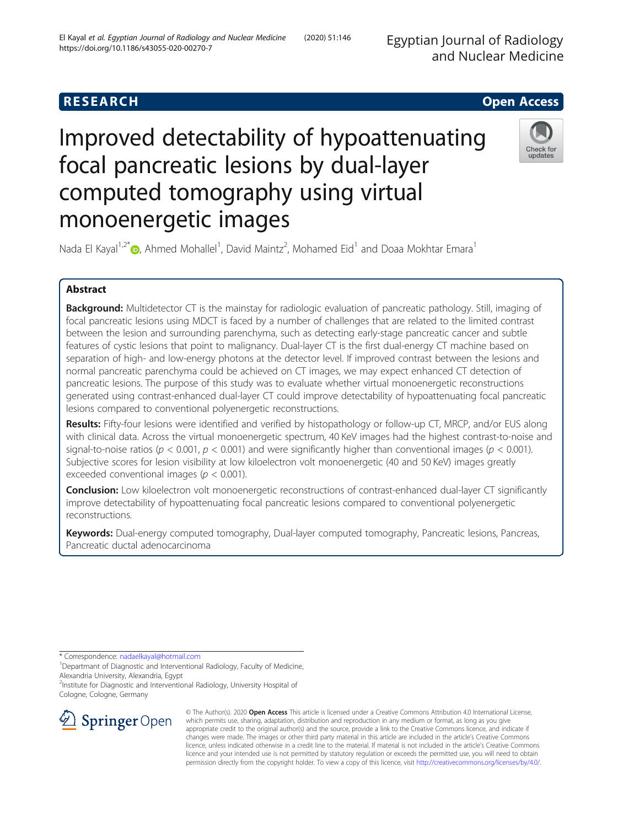## **RESEARCH CHEAR CHEAR CHEAR CHEAR CHEAR CHEAR CHEAR CHEAR CHEAR CHEAR CHEAR CHEAR CHEAR CHEAR CHEAR CHEAR CHEAR**

# Improved detectability of hypoattenuating focal pancreatic lesions by dual-layer computed tomography using virtual monoenergetic images



Nada El Kayal<sup>1[,](http://orcid.org/0000-0003-3013-2672)2\*</sup>®, Ahmed Mohallel<sup>1</sup>, David Maintz<sup>2</sup>, Mohamed Eid<sup>1</sup> and Doaa Mokhtar Emara<sup>1</sup>

### Abstract

Background: Multidetector CT is the mainstay for radiologic evaluation of pancreatic pathology. Still, imaging of focal pancreatic lesions using MDCT is faced by a number of challenges that are related to the limited contrast between the lesion and surrounding parenchyma, such as detecting early-stage pancreatic cancer and subtle features of cystic lesions that point to malignancy. Dual-layer CT is the first dual-energy CT machine based on separation of high- and low-energy photons at the detector level. If improved contrast between the lesions and normal pancreatic parenchyma could be achieved on CT images, we may expect enhanced CT detection of pancreatic lesions. The purpose of this study was to evaluate whether virtual monoenergetic reconstructions generated using contrast-enhanced dual-layer CT could improve detectability of hypoattenuating focal pancreatic lesions compared to conventional polyenergetic reconstructions.

Results: Fifty-four lesions were identified and verified by histopathology or follow-up CT, MRCP, and/or EUS along with clinical data. Across the virtual monoenergetic spectrum, 40 KeV images had the highest contrast-to-noise and signal-to-noise ratios ( $p < 0.001$ ,  $p < 0.001$ ) and were significantly higher than conventional images ( $p < 0.001$ ). Subjective scores for lesion visibility at low kiloelectron volt monoenergetic (40 and 50 KeV) images greatly exceeded conventional images ( $p < 0.001$ ).

Conclusion: Low kiloelectron volt monoenergetic reconstructions of contrast-enhanced dual-layer CT significantly improve detectability of hypoattenuating focal pancreatic lesions compared to conventional polyenergetic reconstructions.

Keywords: Dual-energy computed tomography, Dual-layer computed tomography, Pancreatic lesions, Pancreas, Pancreatic ductal adenocarcinoma

\* Correspondence: [nadaelkayal@hotmail.com](mailto:nadaelkayal@hotmail.com) <sup>1</sup>

<sup>1</sup>Departmant of Diagnostic and Interventional Radiology, Faculty of Medicine, Alexandria University, Alexandria, Egypt

<sup>2</sup>Institute for Diagnostic and Interventional Radiology, University Hospital of Cologne, Cologne, Germany



© The Author(s). 2020 Open Access This article is licensed under a Creative Commons Attribution 4.0 International License, which permits use, sharing, adaptation, distribution and reproduction in any medium or format, as long as you give appropriate credit to the original author(s) and the source, provide a link to the Creative Commons licence, and indicate if changes were made. The images or other third party material in this article are included in the article's Creative Commons licence, unless indicated otherwise in a credit line to the material. If material is not included in the article's Creative Commons licence and your intended use is not permitted by statutory regulation or exceeds the permitted use, you will need to obtain permission directly from the copyright holder. To view a copy of this licence, visit <http://creativecommons.org/licenses/by/4.0/>.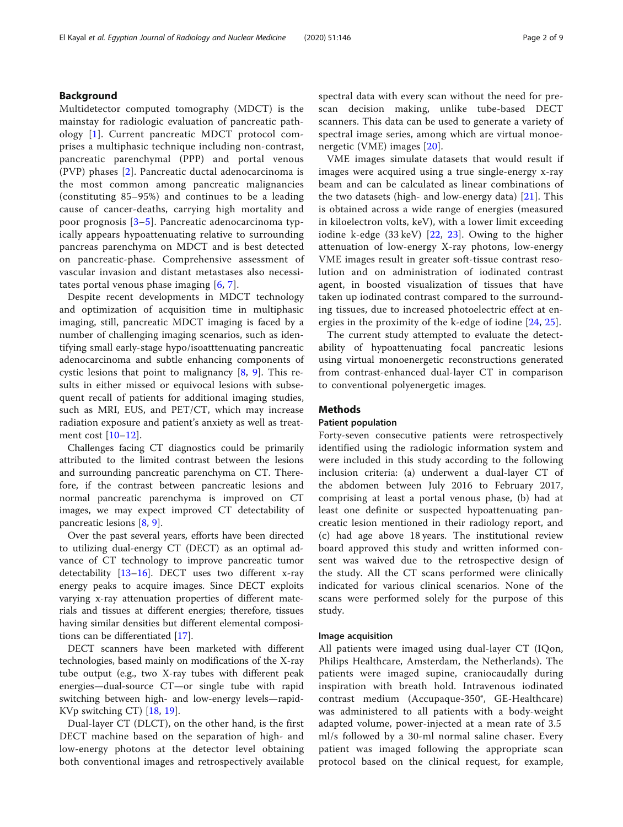#### Background

Multidetector computed tomography (MDCT) is the mainstay for radiologic evaluation of pancreatic pathology [[1](#page-7-0)]. Current pancreatic MDCT protocol comprises a multiphasic technique including non-contrast, pancreatic parenchymal (PPP) and portal venous (PVP) phases [[2\]](#page-7-0). Pancreatic ductal adenocarcinoma is the most common among pancreatic malignancies (constituting 85–95%) and continues to be a leading cause of cancer-deaths, carrying high mortality and poor prognosis [[3](#page-7-0)–[5](#page-7-0)]. Pancreatic adenocarcinoma typically appears hypoattenuating relative to surrounding pancreas parenchyma on MDCT and is best detected on pancreatic-phase. Comprehensive assessment of vascular invasion and distant metastases also necessitates portal venous phase imaging [\[6,](#page-7-0) [7\]](#page-7-0).

Despite recent developments in MDCT technology and optimization of acquisition time in multiphasic imaging, still, pancreatic MDCT imaging is faced by a number of challenging imaging scenarios, such as identifying small early-stage hypo/isoatttenuating pancreatic adenocarcinoma and subtle enhancing components of cystic lesions that point to malignancy  $[8, 9]$  $[8, 9]$  $[8, 9]$  $[8, 9]$ . This results in either missed or equivocal lesions with subsequent recall of patients for additional imaging studies, such as MRI, EUS, and PET/CT, which may increase radiation exposure and patient's anxiety as well as treatment cost [\[10](#page-7-0)–[12](#page-7-0)].

Challenges facing CT diagnostics could be primarily attributed to the limited contrast between the lesions and surrounding pancreatic parenchyma on CT. Therefore, if the contrast between pancreatic lesions and normal pancreatic parenchyma is improved on CT images, we may expect improved CT detectability of pancreatic lesions [\[8](#page-7-0), [9](#page-7-0)].

Over the past several years, efforts have been directed to utilizing dual-energy CT (DECT) as an optimal advance of CT technology to improve pancreatic tumor detectability [\[13](#page-7-0)–[16\]](#page-7-0). DECT uses two different x-ray energy peaks to acquire images. Since DECT exploits varying x-ray attenuation properties of different materials and tissues at different energies; therefore, tissues having similar densities but different elemental compositions can be differentiated [[17](#page-7-0)].

DECT scanners have been marketed with different technologies, based mainly on modifications of the X-ray tube output (e.g., two X-ray tubes with different peak energies—dual-source CT—or single tube with rapid switching between high- and low-energy levels—rapid-KVp switching CT) [\[18](#page-7-0), [19](#page-7-0)].

Dual-layer CT (DLCT), on the other hand, is the first DECT machine based on the separation of high- and low-energy photons at the detector level obtaining both conventional images and retrospectively available spectral data with every scan without the need for prescan decision making, unlike tube-based DECT scanners. This data can be used to generate a variety of spectral image series, among which are virtual monoenergetic (VME) images [\[20](#page-7-0)].

VME images simulate datasets that would result if images were acquired using a true single-energy x-ray beam and can be calculated as linear combinations of the two datasets (high- and low-energy data)  $[21]$  $[21]$  $[21]$ . This is obtained across a wide range of energies (measured in kiloelectron volts, keV), with a lower limit exceeding iodine k-edge (33 keV) [[22](#page-7-0), [23](#page-7-0)]. Owing to the higher attenuation of low-energy X-ray photons, low-energy VME images result in greater soft-tissue contrast resolution and on administration of iodinated contrast agent, in boosted visualization of tissues that have taken up iodinated contrast compared to the surrounding tissues, due to increased photoelectric effect at energies in the proximity of the k-edge of iodine [[24,](#page-7-0) [25](#page-7-0)].

The current study attempted to evaluate the detectability of hypoattenuating focal pancreatic lesions using virtual monoenergetic reconstructions generated from contrast-enhanced dual-layer CT in comparison to conventional polyenergetic images.

#### Methods

#### Patient population

Forty-seven consecutive patients were retrospectively identified using the radiologic information system and were included in this study according to the following inclusion criteria: (a) underwent a dual-layer CT of the abdomen between July 2016 to February 2017, comprising at least a portal venous phase, (b) had at least one definite or suspected hypoattenuating pancreatic lesion mentioned in their radiology report, and (c) had age above 18 years. The institutional review board approved this study and written informed consent was waived due to the retrospective design of the study. All the CT scans performed were clinically indicated for various clinical scenarios. None of the scans were performed solely for the purpose of this study.

#### Image acquisition

All patients were imaged using dual-layer CT (IQon, Philips Healthcare, Amsterdam, the Netherlands). The patients were imaged supine, craniocaudally during inspiration with breath hold. Intravenous iodinated contrast medium (Accupaque-350®, GE-Healthcare) was administered to all patients with a body-weight adapted volume, power-injected at a mean rate of 3.5 ml/s followed by a 30-ml normal saline chaser. Every patient was imaged following the appropriate scan protocol based on the clinical request, for example,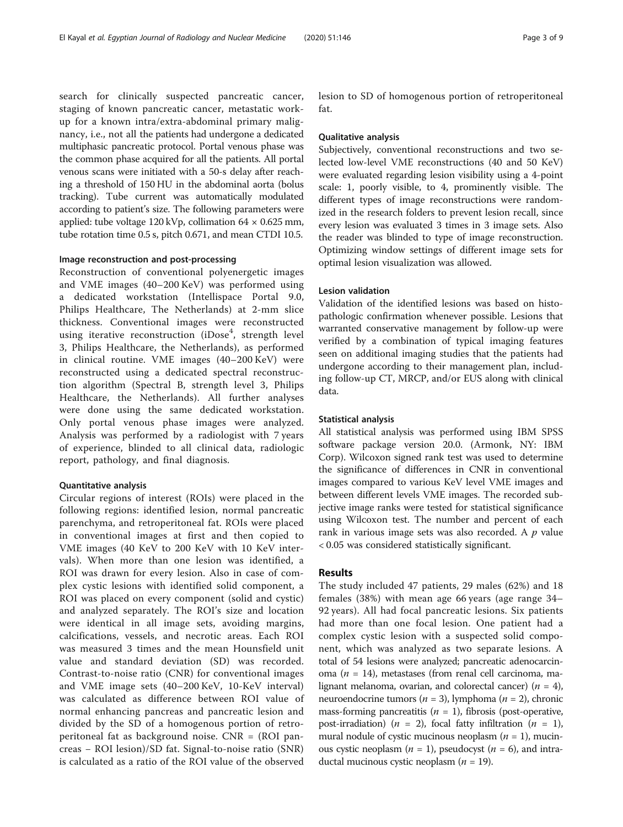search for clinically suspected pancreatic cancer, staging of known pancreatic cancer, metastatic workup for a known intra/extra-abdominal primary malignancy, i.e., not all the patients had undergone a dedicated multiphasic pancreatic protocol. Portal venous phase was the common phase acquired for all the patients. All portal venous scans were initiated with a 50-s delay after reaching a threshold of 150 HU in the abdominal aorta (bolus tracking). Tube current was automatically modulated according to patient's size. The following parameters were applied: tube voltage 120 kVp, collimation  $64 \times 0.625$  mm, tube rotation time 0.5 s, pitch 0.671, and mean CTDI 10.5.

#### Image reconstruction and post-processing

Reconstruction of conventional polyenergetic images and VME images (40–200 KeV) was performed using a dedicated workstation (Intellispace Portal 9.0, Philips Healthcare, The Netherlands) at 2-mm slice thickness. Conventional images were reconstructed using iterative reconstruction (iDose<sup>4</sup>, strength level 3, Philips Healthcare, the Netherlands), as performed in clinical routine. VME images (40–200 KeV) were reconstructed using a dedicated spectral reconstruction algorithm (Spectral B, strength level 3, Philips Healthcare, the Netherlands). All further analyses were done using the same dedicated workstation. Only portal venous phase images were analyzed. Analysis was performed by a radiologist with 7 years of experience, blinded to all clinical data, radiologic report, pathology, and final diagnosis.

#### Quantitative analysis

Circular regions of interest (ROIs) were placed in the following regions: identified lesion, normal pancreatic parenchyma, and retroperitoneal fat. ROIs were placed in conventional images at first and then copied to VME images (40 KeV to 200 KeV with 10 KeV intervals). When more than one lesion was identified, a ROI was drawn for every lesion. Also in case of complex cystic lesions with identified solid component, a ROI was placed on every component (solid and cystic) and analyzed separately. The ROI's size and location were identical in all image sets, avoiding margins, calcifications, vessels, and necrotic areas. Each ROI was measured 3 times and the mean Hounsfield unit value and standard deviation (SD) was recorded. Contrast-to-noise ratio (CNR) for conventional images and VME image sets (40–200 KeV, 10-KeV interval) was calculated as difference between ROI value of normal enhancing pancreas and pancreatic lesion and divided by the SD of a homogenous portion of retroperitoneal fat as background noise. CNR = (ROI pancreas − ROI lesion)/SD fat. Signal-to-noise ratio (SNR) is calculated as a ratio of the ROI value of the observed lesion to SD of homogenous portion of retroperitoneal fat.

#### Qualitative analysis

Subjectively, conventional reconstructions and two selected low-level VME reconstructions (40 and 50 KeV) were evaluated regarding lesion visibility using a 4-point scale: 1, poorly visible, to 4, prominently visible. The different types of image reconstructions were randomized in the research folders to prevent lesion recall, since every lesion was evaluated 3 times in 3 image sets. Also the reader was blinded to type of image reconstruction. Optimizing window settings of different image sets for optimal lesion visualization was allowed.

#### Lesion validation

Validation of the identified lesions was based on histopathologic confirmation whenever possible. Lesions that warranted conservative management by follow-up were verified by a combination of typical imaging features seen on additional imaging studies that the patients had undergone according to their management plan, including follow-up CT, MRCP, and/or EUS along with clinical data.

#### Statistical analysis

All statistical analysis was performed using IBM SPSS software package version 20.0. (Armonk, NY: IBM Corp). Wilcoxon signed rank test was used to determine the significance of differences in CNR in conventional images compared to various KeV level VME images and between different levels VME images. The recorded subjective image ranks were tested for statistical significance using Wilcoxon test. The number and percent of each rank in various image sets was also recorded. A  $p$  value < 0.05 was considered statistically significant.

#### Results

The study included 47 patients, 29 males (62%) and 18 females (38%) with mean age 66 years (age range 34– 92 years). All had focal pancreatic lesions. Six patients had more than one focal lesion. One patient had a complex cystic lesion with a suspected solid component, which was analyzed as two separate lesions. A total of 54 lesions were analyzed; pancreatic adenocarcinoma ( $n = 14$ ), metastases (from renal cell carcinoma, malignant melanoma, ovarian, and colorectal cancer) ( $n = 4$ ), neuroendocrine tumors ( $n = 3$ ), lymphoma ( $n = 2$ ), chronic mass-forming pancreatitis ( $n = 1$ ), fibrosis (post-operative, post-irradiation) ( $n = 2$ ), focal fatty infiltration ( $n = 1$ ), mural nodule of cystic mucinous neoplasm  $(n = 1)$ , mucinous cystic neoplasm  $(n = 1)$ , pseudocyst  $(n = 6)$ , and intraductal mucinous cystic neoplasm ( $n = 19$ ).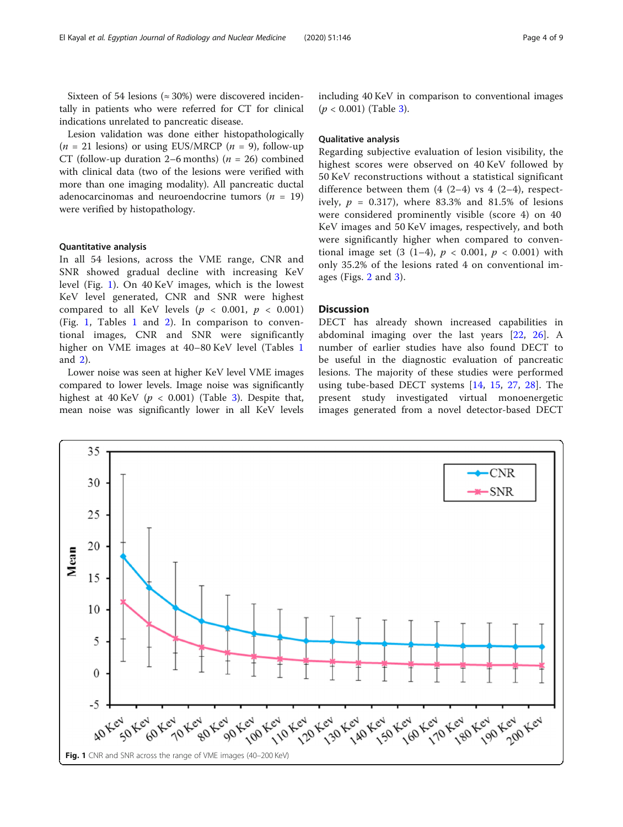Sixteen of 54 lesions ( $\approx 30\%$ ) were discovered incidentally in patients who were referred for CT for clinical indications unrelated to pancreatic disease.

Lesion validation was done either histopathologically  $(n = 21 \text{ lesions})$  or using EUS/MRCP  $(n = 9)$ , follow-up CT (follow-up duration 2–6 months) ( $n = 26$ ) combined with clinical data (two of the lesions were verified with more than one imaging modality). All pancreatic ductal adenocarcinomas and neuroendocrine tumors ( $n = 19$ ) were verified by histopathology.

#### Quantitative analysis

In all 54 lesions, across the VME range, CNR and SNR showed gradual decline with increasing KeV level (Fig. 1). On 40 KeV images, which is the lowest KeV level generated, CNR and SNR were highest compared to all KeV levels ( $p < 0.001$ ,  $p < 0.001$ ) (Fig. 1, Tables [1](#page-4-0) and [2\)](#page-4-0). In comparison to conventional images, CNR and SNR were significantly higher on VME images at 40–80 KeV level (Tables [1](#page-4-0) and [2](#page-4-0)).

Lower noise was seen at higher KeV level VME images compared to lower levels. Image noise was significantly highest at 40 KeV ( $p < 0.001$ ) (Table [3\)](#page-4-0). Despite that, mean noise was significantly lower in all KeV levels including 40 KeV in comparison to conventional images  $(p < 0.001)$  (Table [3](#page-4-0)).

#### Qualitative analysis

Regarding subjective evaluation of lesion visibility, the highest scores were observed on 40 KeV followed by 50 KeV reconstructions without a statistical significant difference between them  $(4 (2-4)$  vs  $4 (2-4)$ , respectively,  $p = 0.317$ , where 83.3% and 81.5% of lesions were considered prominently visible (score 4) on 40 KeV images and 50 KeV images, respectively, and both were significantly higher when compared to conventional image set  $(3 (1-4), p < 0.001, p < 0.001)$  with only 35.2% of the lesions rated 4 on conventional images (Figs. [2](#page-5-0) and [3](#page-6-0)).

#### **Discussion**

DECT has already shown increased capabilities in abdominal imaging over the last years [[22,](#page-7-0) [26\]](#page-7-0). A number of earlier studies have also found DECT to be useful in the diagnostic evaluation of pancreatic lesions. The majority of these studies were performed using tube-based DECT systems [[14,](#page-7-0) [15,](#page-7-0) [27](#page-7-0), [28](#page-7-0)]. The present study investigated virtual monoenergetic images generated from a novel detector-based DECT

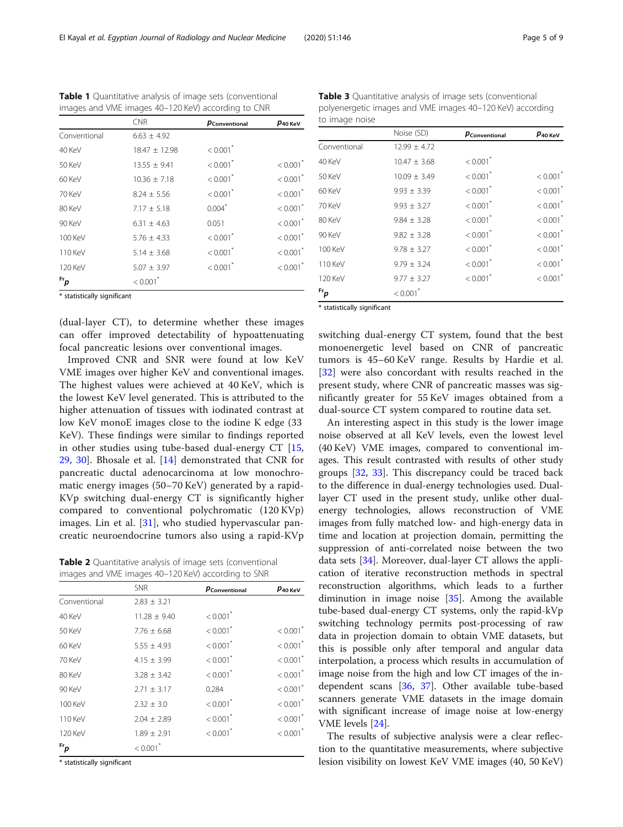\* statistically significant

(dual-layer CT), to determine whether these images can offer improved detectability of hypoattenuating focal pancreatic lesions over conventional images.

Improved CNR and SNR were found at low KeV VME images over higher KeV and conventional images. The highest values were achieved at 40 KeV, which is the lowest KeV level generated. This is attributed to the higher attenuation of tissues with iodinated contrast at low KeV monoE images close to the iodine K edge (33 KeV). These findings were similar to findings reported in other studies using tube-based dual-energy CT [\[15](#page-7-0), [29,](#page-7-0) [30\]](#page-7-0). Bhosale et al. [[14](#page-7-0)] demonstrated that CNR for pancreatic ductal adenocarcinoma at low monochromatic energy images (50–70 KeV) generated by a rapid-KVp switching dual-energy CT is significantly higher compared to conventional polychromatic (120 KVp) images. Lin et al. [\[31](#page-7-0)], who studied hypervascular pancreatic neuroendocrine tumors also using a rapid-KVp

Table 2 Quantitative analysis of image sets (conventional images and VME images 40–120 KeV) according to SNR

|              | <b>SNR</b>             | PConventional          | $\bm p$ 40 КеV         |
|--------------|------------------------|------------------------|------------------------|
| Conventional | $2.83 \pm 3.21$        |                        |                        |
| 40 KeV       | $11.28 \pm 9.40$       | $< 0.001$ <sup>*</sup> |                        |
| 50 KeV       | $7.76 \pm 6.68$        | $< 0.001$ <sup>*</sup> | $< 0.001$ <sup>*</sup> |
| 60 KeV       | $5.55 \pm 4.93$        | $< 0.001$ <sup>*</sup> | $< 0.001$ <sup>*</sup> |
| 70 KeV       | $4.15 \pm 3.99$        | $< 0.001$ <sup>*</sup> | $< 0.001$ <sup>*</sup> |
| 80 KeV       | $3.28 \pm 3.42$        | $< 0.001$ <sup>*</sup> | $< 0.001$ <sup>*</sup> |
| 90 KeV       | $2.71 \pm 3.17$        | 0.284                  | $< 0.001$ <sup>*</sup> |
| 100 KeV      | $2.32 \pm 3.0$         | $< 0.001$ *            | $< 0.001$ <sup>*</sup> |
| 110 KeV      | $2.04 \pm 2.89$        | $< 0.001$ <sup>*</sup> | $< 0.001$ <sup>*</sup> |
| 120 KeV      | $1.89 \pm 2.91$        | $< 0.001$ <sup>*</sup> | $< 0.001$ <sup>*</sup> |
| $Fr_p$       | $< 0.001$ <sup>*</sup> |                        |                        |

\* statistically significant

Table 3 Quantitative analysis of image sets (conventional polyenergetic images and VME images 40–120 KeV) according to image noise

|                             | Noise (SD)             | PConventional          | $p_{\rm 40\,KeV}$      |
|-----------------------------|------------------------|------------------------|------------------------|
| Conventional                | $12.99 \pm 4.72$       |                        |                        |
| 40 KeV                      | $10.47 \pm 3.68$       | $< 0.001$ <sup>*</sup> |                        |
| 50 KeV                      | $10.09 \pm 3.49$       | $< 0.001$ <sup>*</sup> | $< 0.001$ <sup>*</sup> |
| 60 KeV                      | $9.93 \pm 3.39$        | $< 0.001$ <sup>*</sup> | $< 0.001$ <sup>*</sup> |
| 70 KeV                      | $9.93 \pm 3.27$        | $< 0.001$ <sup>*</sup> | $< 0.001$ <sup>*</sup> |
| 80 KeV                      | $9.84 \pm 3.28$        | $< 0.001$ <sup>*</sup> | $< 0.001$ <sup>*</sup> |
| 90 KeV                      | $9.82 \pm 3.28$        | $< 0.001$ <sup>*</sup> | $< 0.001$ <sup>*</sup> |
| 100 KeV                     | $9.78 \pm 3.27$        | $< 0.001$ <sup>*</sup> | $< 0.001$ <sup>*</sup> |
| 110 KeV                     | $9.79 \pm 3.24$        | $< 0.001$ <sup>*</sup> | $< 0.001$ <sup>*</sup> |
| 120 KeV                     | $9.77 \pm 3.27$        | $< 0.001$ <sup>*</sup> | $< 0.001$ <sup>*</sup> |
| $Fr_{p}$                    | $< 0.001$ <sup>*</sup> |                        |                        |
| * statistically significant |                        |                        |                        |

switching dual-energy CT system, found that the best monoenergetic level based on CNR of pancreatic tumors is 45–60 KeV range. Results by Hardie et al. [[32\]](#page-7-0) were also concordant with results reached in the present study, where CNR of pancreatic masses was significantly greater for 55 KeV images obtained from a dual-source CT system compared to routine data set.

An interesting aspect in this study is the lower image noise observed at all KeV levels, even the lowest level (40 KeV) VME images, compared to conventional images. This result contrasted with results of other study groups [[32,](#page-7-0) [33\]](#page-8-0). This discrepancy could be traced back to the difference in dual-energy technologies used. Duallayer CT used in the present study, unlike other dualenergy technologies, allows reconstruction of VME images from fully matched low- and high-energy data in time and location at projection domain, permitting the suppression of anti-correlated noise between the two data sets [[34](#page-8-0)]. Moreover, dual-layer CT allows the application of iterative reconstruction methods in spectral reconstruction algorithms, which leads to a further diminution in image noise [[35\]](#page-8-0). Among the available tube-based dual-energy CT systems, only the rapid-kVp switching technology permits post-processing of raw data in projection domain to obtain VME datasets, but this is possible only after temporal and angular data interpolation, a process which results in accumulation of image noise from the high and low CT images of the independent scans [\[36](#page-8-0), [37\]](#page-8-0). Other available tube-based scanners generate VME datasets in the image domain with significant increase of image noise at low-energy VME levels [\[24](#page-7-0)].

The results of subjective analysis were a clear reflection to the quantitative measurements, where subjective lesion visibility on lowest KeV VME images (40, 50 KeV)

|              | <b>CNR</b>             | PConventional          | $p_{40\,\rm KeV}$      |
|--------------|------------------------|------------------------|------------------------|
| Conventional | $6.63 \pm 4.92$        |                        |                        |
| 40 KeV       | $18.47 \pm 12.98$      | $< 0.001$ <sup>*</sup> |                        |
| 50 KeV       | $13.55 \pm 9.41$       | $< 0.001$ <sup>*</sup> | $< 0.001$ <sup>*</sup> |
| 60 KeV       | $10.36 \pm 7.18$       | $< 0.001$ <sup>*</sup> | $< 0.001$ <sup>*</sup> |
| 70 KeV       | $8.24 \pm 5.56$        | $< 0.001$ <sup>*</sup> | $< 0.001$ <sup>*</sup> |
| 80 KeV       | $7.17 \pm 5.18$        | 0.004                  | $< 0.001$ <sup>*</sup> |
| 90 KeV       | $6.31 \pm 4.63$        | 0.051                  | $< 0.001$ <sup>*</sup> |
| 100 KeV      | $5.76 \pm 4.33$        | $< 0.001$ <sup>*</sup> | $< 0.001$ <sup>*</sup> |
| 110 KeV      | $5.14 \pm 3.68$        | $< 0.001$ <sup>*</sup> | $< 0.001$ <sup>*</sup> |
| 120 KeV      | $5.07 \pm 3.97$        | $< 0.001$ <sup>*</sup> | $< 0.001$ <sup>*</sup> |
| $F_{p}$      | $< 0.001$ <sup>*</sup> |                        |                        |

<span id="page-4-0"></span>Table 1 Quantitative analysis of image sets (conventional images and VME images 40–120 KeV) according to CNR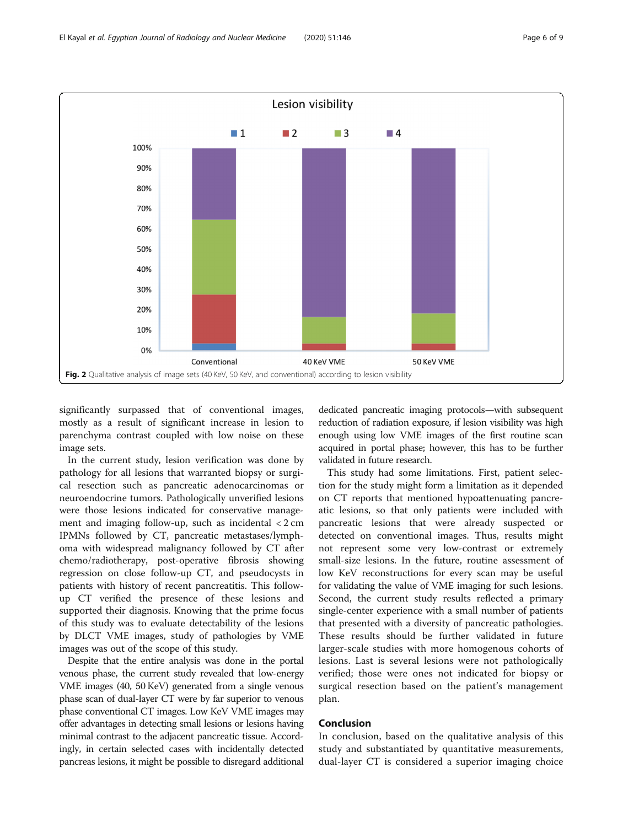<span id="page-5-0"></span>

significantly surpassed that of conventional images, mostly as a result of significant increase in lesion to parenchyma contrast coupled with low noise on these image sets.

In the current study, lesion verification was done by pathology for all lesions that warranted biopsy or surgical resection such as pancreatic adenocarcinomas or neuroendocrine tumors. Pathologically unverified lesions were those lesions indicated for conservative management and imaging follow-up, such as incidental < 2 cm IPMNs followed by CT, pancreatic metastases/lymphoma with widespread malignancy followed by CT after chemo/radiotherapy, post-operative fibrosis showing regression on close follow-up CT, and pseudocysts in patients with history of recent pancreatitis. This followup CT verified the presence of these lesions and supported their diagnosis. Knowing that the prime focus of this study was to evaluate detectability of the lesions by DLCT VME images, study of pathologies by VME images was out of the scope of this study.

Despite that the entire analysis was done in the portal venous phase, the current study revealed that low-energy VME images (40, 50 KeV) generated from a single venous phase scan of dual-layer CT were by far superior to venous phase conventional CT images. Low KeV VME images may offer advantages in detecting small lesions or lesions having minimal contrast to the adjacent pancreatic tissue. Accordingly, in certain selected cases with incidentally detected pancreas lesions, it might be possible to disregard additional

dedicated pancreatic imaging protocols—with subsequent reduction of radiation exposure, if lesion visibility was high enough using low VME images of the first routine scan acquired in portal phase; however, this has to be further validated in future research.

This study had some limitations. First, patient selection for the study might form a limitation as it depended on CT reports that mentioned hypoattenuating pancreatic lesions, so that only patients were included with pancreatic lesions that were already suspected or detected on conventional images. Thus, results might not represent some very low-contrast or extremely small-size lesions. In the future, routine assessment of low KeV reconstructions for every scan may be useful for validating the value of VME imaging for such lesions. Second, the current study results reflected a primary single-center experience with a small number of patients that presented with a diversity of pancreatic pathologies. These results should be further validated in future larger-scale studies with more homogenous cohorts of lesions. Last is several lesions were not pathologically verified; those were ones not indicated for biopsy or surgical resection based on the patient's management plan.

#### Conclusion

In conclusion, based on the qualitative analysis of this study and substantiated by quantitative measurements, dual-layer CT is considered a superior imaging choice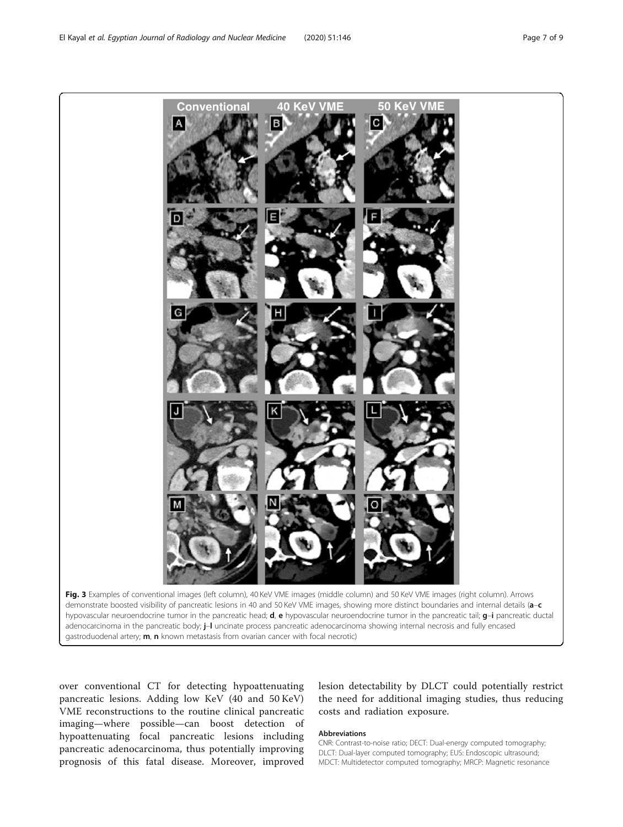<span id="page-6-0"></span>

over conventional CT for detecting hypoattenuating pancreatic lesions. Adding low KeV (40 and 50 KeV) VME reconstructions to the routine clinical pancreatic imaging—where possible—can boost detection of hypoattenuating focal pancreatic lesions including pancreatic adenocarcinoma, thus potentially improving prognosis of this fatal disease. Moreover, improved lesion detectability by DLCT could potentially restrict the need for additional imaging studies, thus reducing costs and radiation exposure.

#### Abbreviations

CNR: Contrast-to-noise ratio; DECT: Dual-energy computed tomography; DLCT: Dual-layer computed tomography; EUS: Endoscopic ultrasound; MDCT: Multidetector computed tomography; MRCP: Magnetic resonance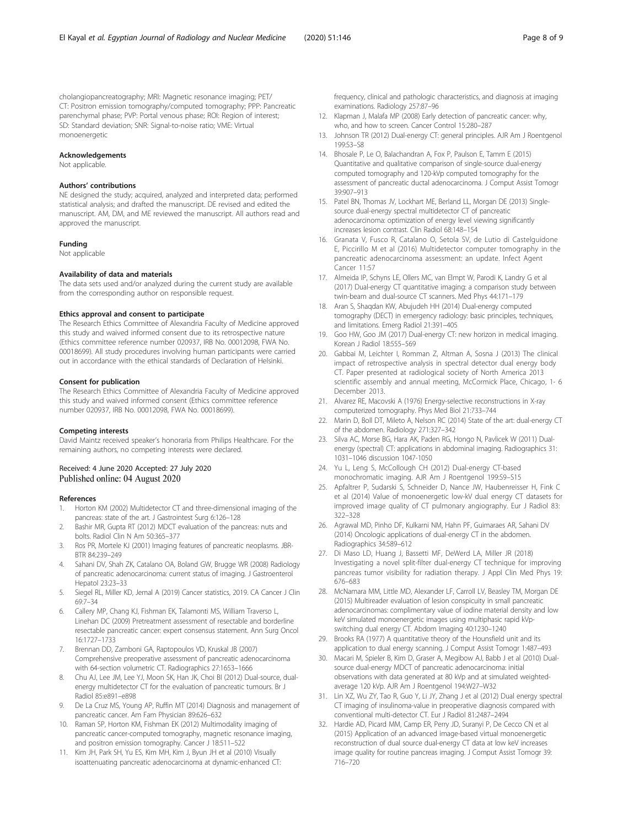<span id="page-7-0"></span>cholangiopancreatography; MRI: Magnetic resonance imaging; PET/ CT: Positron emission tomography/computed tomography; PPP: Pancreatic parenchymal phase; PVP: Portal venous phase; ROI: Region of interest; SD: Standard deviation; SNR: Signal-to-noise ratio; VME: Virtual monoenergetic

#### Acknowledgements

Not applicable.

#### Authors' contributions

NE designed the study; acquired, analyzed and interpreted data; performed statistical analysis; and drafted the manuscript. DE revised and edited the manuscript. AM, DM, and ME reviewed the manuscript. All authors read and approved the manuscript.

#### Funding

Not applicable

#### Availability of data and materials

The data sets used and/or analyzed during the current study are available from the corresponding author on responsible request.

#### Ethics approval and consent to participate

The Research Ethics Committee of Alexandria Faculty of Medicine approved this study and waived informed consent due to its retrospective nature (Ethics committee reference number 020937, IRB No. 00012098, FWA No. 00018699). All study procedures involving human participants were carried out in accordance with the ethical standards of Declaration of Helsinki.

#### Consent for publication

The Research Ethics Committee of Alexandria Faculty of Medicine approved this study and waived informed consent (Ethics committee reference number 020937, IRB No. 00012098, FWA No. 00018699).

#### Competing interests

David Maintz received speaker's honoraria from Philips Healthcare. For the remaining authors, no competing interests were declared.

#### Received: 4 June 2020 Accepted: 27 July 2020 Published online: 04 August 2020

#### References

- 1. Horton KM (2002) Multidetector CT and three-dimensional imaging of the pancreas: state of the art. J Gastrointest Surg 6:126–128
- Bashir MR, Gupta RT (2012) MDCT evaluation of the pancreas: nuts and bolts. Radiol Clin N Am 50:365–377
- Ros PR, Mortele KJ (2001) Imaging features of pancreatic neoplasms. JBR-BTR 84:239–249
- 4. Sahani DV, Shah ZK, Catalano OA, Boland GW, Brugge WR (2008) Radiology of pancreatic adenocarcinoma: current status of imaging. J Gastroenterol Hepatol 23:23–33
- 5. Siegel RL, Miller KD, Jemal A (2019) Cancer statistics, 2019. CA Cancer J Clin 69:7–34
- 6. Callery MP, Chang KJ, Fishman EK, Talamonti MS, William Traverso L, Linehan DC (2009) Pretreatment assessment of resectable and borderline resectable pancreatic cancer: expert consensus statement. Ann Surg Oncol 16:1727–1733
- 7. Brennan DD, Zamboni GA, Raptopoulos VD, Kruskal JB (2007) Comprehensive preoperative assessment of pancreatic adenocarcinoma with 64-section volumetric CT. Radiographics 27:1653–1666
- 8. Chu AJ, Lee JM, Lee YJ, Moon SK, Han JK, Choi BI (2012) Dual-source, dualenergy multidetector CT for the evaluation of pancreatic tumours. Br J Radiol 85:e891–e898
- 9. De La Cruz MS, Young AP, Ruffin MT (2014) Diagnosis and management of pancreatic cancer. Am Fam Physician 89:626–632
- 10. Raman SP, Horton KM, Fishman EK (2012) Multimodality imaging of pancreatic cancer-computed tomography, magnetic resonance imaging, and positron emission tomography. Cancer J 18:511–522
- 11. Kim JH, Park SH, Yu ES, Kim MH, Kim J, Byun JH et al (2010) Visually isoattenuating pancreatic adenocarcinoma at dynamic-enhanced CT:

frequency, clinical and pathologic characteristics, and diagnosis at imaging examinations. Radiology 257:87–96

- 12. Klapman J, Malafa MP (2008) Early detection of pancreatic cancer: why, who, and how to screen. Cancer Control 15:280–287
- 13. Johnson TR (2012) Dual-energy CT: general principles. AJR Am J Roentgenol 199:S3–S8
- 14. Bhosale P, Le O, Balachandran A, Fox P, Paulson E, Tamm E (2015) Quantitative and qualitative comparison of single-source dual-energy computed tomography and 120-kVp computed tomography for the assessment of pancreatic ductal adenocarcinoma. J Comput Assist Tomogr 39:907–913
- 15. Patel BN, Thomas JV, Lockhart ME, Berland LL, Morgan DE (2013) Singlesource dual-energy spectral multidetector CT of pancreatic adenocarcinoma: optimization of energy level viewing significantly increases lesion contrast. Clin Radiol 68:148–154
- 16. Granata V, Fusco R, Catalano O, Setola SV, de Lutio di Castelguidone E, Piccirillo M et al (2016) Multidetector computer tomography in the pancreatic adenocarcinoma assessment: an update. Infect Agent Cancer 11:57
- 17. Almeida IP, Schyns LE, Ollers MC, van Elmpt W, Parodi K, Landry G et al (2017) Dual-energy CT quantitative imaging: a comparison study between twin-beam and dual-source CT scanners. Med Phys 44:171–179
- 18. Aran S, Shaqdan KW, Abujudeh HH (2014) Dual-energy computed tomography (DECT) in emergency radiology: basic principles, techniques, and limitations. Emerg Radiol 21:391–405
- 19. Goo HW, Goo JM (2017) Dual-energy CT: new horizon in medical imaging. Korean J Radiol 18:555–569
- 20. Gabbai M, Leichter I, Romman Z, Altman A, Sosna J (2013) The clinical impact of retrospective analysis in spectral detector dual energy body CT. Paper presented at radiological society of North America 2013 scientific assembly and annual meeting, McCormick Place, Chicago, 1- 6 December 2013.
- 21. Alvarez RE, Macovski A (1976) Energy-selective reconstructions in X-ray computerized tomography. Phys Med Biol 21:733–744
- 22. Marin D, Boll DT, Mileto A, Nelson RC (2014) State of the art: dual-energy CT of the abdomen. Radiology 271:327–342
- 23. Silva AC, Morse BG, Hara AK, Paden RG, Hongo N, Pavlicek W (2011) Dualenergy (spectral) CT: applications in abdominal imaging. Radiographics 31: 1031–1046 discussion 1047-1050
- 24. Yu L, Leng S, McCollough CH (2012) Dual-energy CT-based monochromatic imaging. AJR Am J Roentgenol 199:S9–S15
- 25. Apfaltrer P, Sudarski S, Schneider D, Nance JW, Haubenreisser H, Fink C et al (2014) Value of monoenergetic low-kV dual energy CT datasets for improved image quality of CT pulmonary angiography. Eur J Radiol 83: 322–328
- 26. Agrawal MD, Pinho DF, Kulkarni NM, Hahn PF, Guimaraes AR, Sahani DV (2014) Oncologic applications of dual-energy CT in the abdomen. Radiographics 34:589–612
- 27. Di Maso LD, Huang J, Bassetti MF, DeWerd LA, Miller JR (2018) Investigating a novel split-filter dual-energy CT technique for improving pancreas tumor visibility for radiation therapy. J Appl Clin Med Phys 19: 676–683
- 28. McNamara MM, Little MD, Alexander LF, Carroll LV, Beasley TM, Morgan DE (2015) Multireader evaluation of lesion conspicuity in small pancreatic adenocarcinomas: complimentary value of iodine material density and low keV simulated monoenergetic images using multiphasic rapid kVpswitching dual energy CT. Abdom Imaging 40:1230–1240
- 29. Brooks RA (1977) A quantitative theory of the Hounsfield unit and its application to dual energy scanning. J Comput Assist Tomogr 1:487–493
- 30. Macari M, Spieler B, Kim D, Graser A, Megibow AJ, Babb J et al (2010) Dualsource dual-energy MDCT of pancreatic adenocarcinoma: initial observations with data generated at 80 kVp and at simulated weightedaverage 120 kVp. AJR Am J Roentgenol 194:W27–W32
- 31. Lin XZ, Wu ZY, Tao R, Guo Y, Li JY, Zhang J et al (2012) Dual energy spectral CT imaging of insulinoma-value in preoperative diagnosis compared with conventional multi-detector CT. Eur J Radiol 81:2487–2494
- 32. Hardie AD, Picard MM, Camp ER, Perry JD, Suranyi P, De Cecco CN et al (2015) Application of an advanced image-based virtual monoenergetic reconstruction of dual source dual-energy CT data at low keV increases image quality for routine pancreas imaging. J Comput Assist Tomogr 39: 716–720